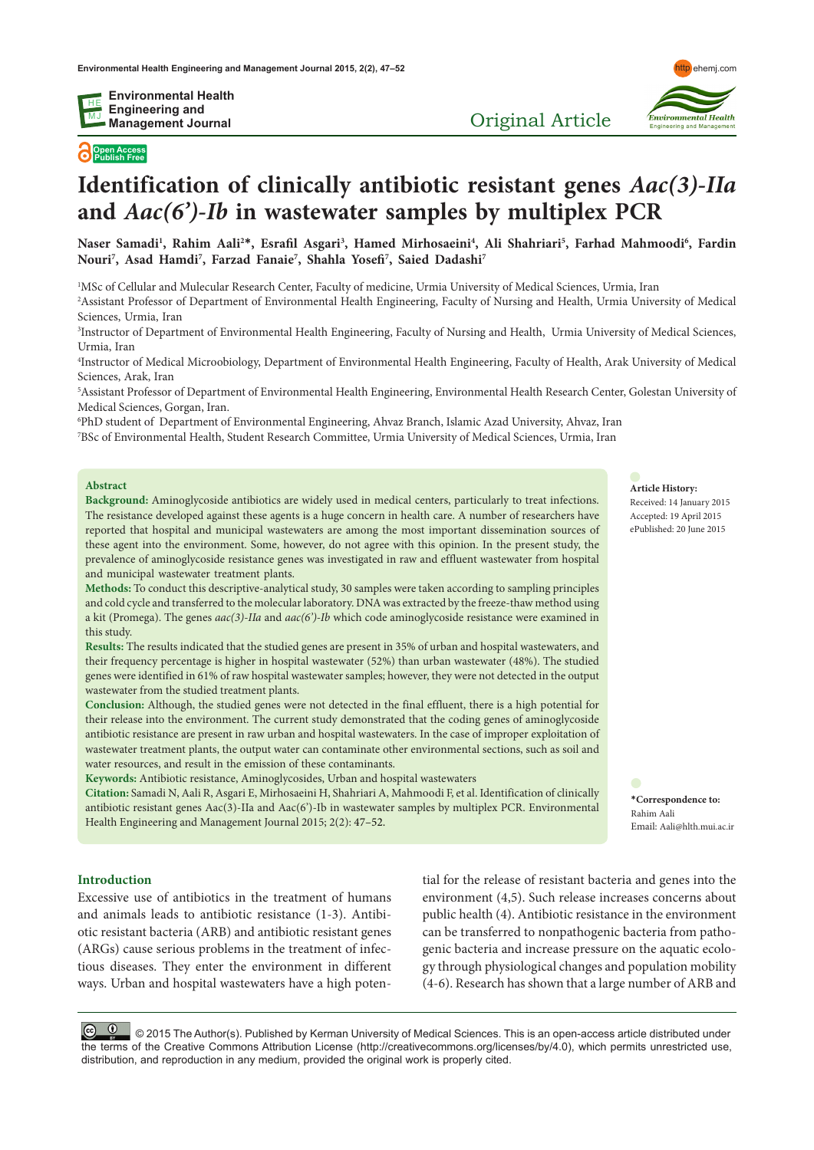**Open Access Publish Free**

# **Identification of clinically antibiotic resistant genes** *Aac(3)-IIa*  **and** *Aac(6')-Ib* **in wastewater samples by multiplex PCR**

Naser Samadi<sup>1</sup>, Rahim Aali<sup>2</sup>\*, Esrafil Asgari<sup>3</sup>, Hamed Mirhosaeini<sup>4</sup>, Ali Shahriari<sup>5</sup>, Farhad Mahmoodi<sup>6</sup>, Fardin **Nouri7 , Asad Hamdi7 , Farzad Fanaie7 , Shahla Yosefi7 , Saied Dadashi7**

1 MSc of Cellular and Mulecular Research Center, Faculty of medicine, Urmia University of Medical Sciences, Urmia, Iran

2 Assistant Professor of Department of Environmental Health Engineering, Faculty of Nursing and Health, Urmia University of Medical Sciences, Urmia, Iran

3 Instructor of Department of Environmental Health Engineering, Faculty of Nursing and Health, Urmia University of Medical Sciences, Urmia, Iran

4 Instructor of Medical Microobiology, Department of Environmental Health Engineering, Faculty of Health, Arak University of Medical Sciences, Arak, Iran

5 Assistant Professor of Department of Environmental Health Engineering, Environmental Health Research Center, Golestan University of Medical Sciences, Gorgan, Iran.

6 PhD student of Department of Environmental Engineering, Ahvaz Branch, Islamic Azad University, Ahvaz, Iran 7 BSc of Environmental Health, Student Research Committee, Urmia University of Medical Sciences, Urmia, Iran

#### **Abstract**

**Background:** Aminoglycoside antibiotics are widely used in medical centers, particularly to treat infections. The resistance developed against these agents is a huge concern in health care. A number of researchers have reported that hospital and municipal wastewaters are among the most important dissemination sources of these agent into the environment. Some, however, do not agree with this opinion. In the present study, the prevalence of aminoglycoside resistance genes was investigated in raw and effluent wastewater from hospital and municipal wastewater treatment plants.

**Methods:** To conduct this descriptive-analytical study, 30 samples were taken according to sampling principles and cold cycle and transferred to the molecular laboratory. DNA was extracted by the freeze-thaw method using a kit (Promega). The genes *aac(3)-IIa* and *aac(6')-Ib* which code aminoglycoside resistance were examined in this study.

**Results:** The results indicated that the studied genes are present in 35% of urban and hospital wastewaters, and their frequency percentage is higher in hospital wastewater (52%) than urban wastewater (48%). The studied genes were identified in 61% of raw hospital wastewater samples; however, they were not detected in the output wastewater from the studied treatment plants.

**Conclusion:** Although, the studied genes were not detected in the final effluent, there is a high potential for their release into the environment. The current study demonstrated that the coding genes of aminoglycoside antibiotic resistance are present in raw urban and hospital wastewaters. In the case of improper exploitation of wastewater treatment plants, the output water can contaminate other environmental sections, such as soil and water resources, and result in the emission of these contaminants.

**Keywords:** Antibiotic resistance, Aminoglycosides, Urban and hospital wastewaters

**Citation:** Samadi N, Aali R, Asgari E, Mirhosaeini H, Shahriari A, Mahmoodi F, et al. Identification of clinically antibiotic resistant genes Aac(3)-IIa and Aac(6')-Ib in wastewater samples by multiplex PCR. Environmental Health Engineering and Management Journal 2015; 2(2): 47–52.

#### **Introduction**

Excessive use of antibiotics in the treatment of humans and animals leads to antibiotic resistance (1-3). Antibiotic resistant bacteria (ARB) and antibiotic resistant genes (ARGs) cause serious problems in the treatment of infectious diseases. They enter the environment in different ways. Urban and hospital wastewaters have a high poten-

tial for the release of resistant bacteria and genes into the environment (4,5). Such release increases concerns about public health (4). Antibiotic resistance in the environment can be transferred to nonpathogenic bacteria from pathogenic bacteria and increase pressure on the aquatic ecology through physiological changes and population mobility (4-6). Research has shown that a large number of ARB and

© © © © 2015 The Author(s). Published by Kerman University of Medical Sciences. This is an open-access article distributed under the terms of the Creative Commons Attribution License (http://creativecommons.org/licenses/by/4.0), which permits unrestricted use, distribution, and reproduction in any medium, provided the original work is properly cited.

#### **Article History:**

Received: 14 January 2015 Accepted: 19 April 2015 ePublished: 20 June 2015

**\*Correspondence to:** Rahim Aali Email: Aali@hlth.mui.ac.ir



Original Article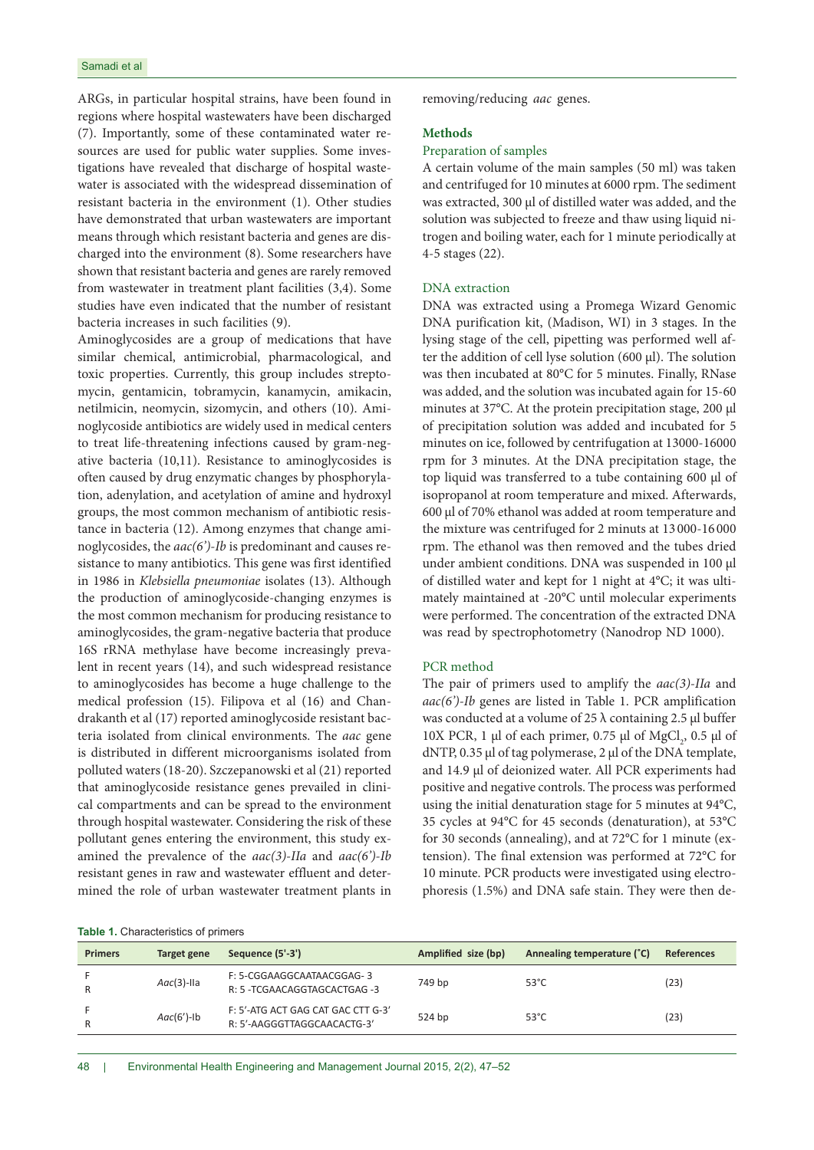ARGs, in particular hospital strains, have been found in regions where hospital wastewaters have been discharged (7). Importantly, some of these contaminated water resources are used for public water supplies. Some investigations have revealed that discharge of hospital wastewater is associated with the widespread dissemination of resistant bacteria in the environment (1). Other studies have demonstrated that urban wastewaters are important means through which resistant bacteria and genes are discharged into the environment (8). Some researchers have shown that resistant bacteria and genes are rarely removed from wastewater in treatment plant facilities (3,4). Some studies have even indicated that the number of resistant bacteria increases in such facilities (9).

Aminoglycosides are a group of medications that have similar chemical, antimicrobial, pharmacological, and toxic properties. Currently, this group includes streptomycin, gentamicin, tobramycin, kanamycin, amikacin, netilmicin, neomycin, sizomycin, and others (10). Aminoglycoside antibiotics are widely used in medical centers to treat life-threatening infections caused by gram-negative bacteria (10,11). Resistance to aminoglycosides is often caused by drug enzymatic changes by phosphorylation, adenylation, and acetylation of amine and hydroxyl groups, the most common mechanism of antibiotic resistance in bacteria (12). Among enzymes that change aminoglycosides, the *aac(6')-Ib* is predominant and causes resistance to many antibiotics. This gene was first identified in 1986 in *Klebsiella pneumoniae* isolates (13). Although the production of aminoglycoside-changing enzymes is the most common mechanism for producing resistance to aminoglycosides, the gram-negative bacteria that produce 16S rRNA methylase have become increasingly prevalent in recent years (14), and such widespread resistance to aminoglycosides has become a huge challenge to the medical profession (15). Filipova et al (16) and Chandrakanth et al (17) reported aminoglycoside resistant bacteria isolated from clinical environments. The *aac* gene is distributed in different microorganisms isolated from polluted waters (18-20). Szczepanowski et al (21) reported that aminoglycoside resistance genes prevailed in clinical compartments and can be spread to the environment through hospital wastewater. Considering the risk of these pollutant genes entering the environment, this study examined the prevalence of the *aac(3)-IIa* and *aac(6')-Ib* resistant genes in raw and wastewater effluent and determined the role of urban wastewater treatment plants in

#### **Table 1.** Characteristics of primers

removing/reducing *aac* genes.

#### **Methods**

### Preparation of samples

A certain volume of the main samples (50 ml) was taken and centrifuged for 10 minutes at 6000 rpm. The sediment was extracted, 300 μl of distilled water was added, and the solution was subjected to freeze and thaw using liquid nitrogen and boiling water, each for 1 minute periodically at 4-5 stages (22).

#### DNA extraction

DNA was extracted using a Promega Wizard Genomic DNA purification kit, (Madison, WI) in 3 stages. In the lysing stage of the cell, pipetting was performed well after the addition of cell lyse solution (600 μl). The solution was then incubated at 80°C for 5 minutes. Finally, RNase was added, and the solution was incubated again for 15-60 minutes at 37°C. At the protein precipitation stage, 200 μl of precipitation solution was added and incubated for 5 minutes on ice, followed by centrifugation at 13000-16000 rpm for 3 minutes. At the DNA precipitation stage, the top liquid was transferred to a tube containing 600 μl of isopropanol at room temperature and mixed. Afterwards, 600 μl of 70% ethanol was added at room temperature and the mixture was centrifuged for 2 minuts at 13 000-16 000 rpm. The ethanol was then removed and the tubes dried under ambient conditions. DNA was suspended in 100 μl of distilled water and kept for 1 night at 4°C; it was ultimately maintained at -20°C until molecular experiments were performed. The concentration of the extracted DNA was read by spectrophotometry (Nanodrop ND 1000).

### PCR method

The pair of primers used to amplify the *aac(3)-IIa* and *aac(6')-Ib* genes are listed in Table 1. PCR amplification was conducted at a volume of 25  $\lambda$  containing 2.5 μl buffer 10X PCR, 1 μl of each primer, 0.75 μl of  $MgCl_2$ , 0.5 μl of dNTP, 0.35 μl of tag polymerase, 2 μl of the DNA template, and 14.9 μl of deionized water. All PCR experiments had positive and negative controls. The process was performed using the initial denaturation stage for 5 minutes at 94°C, 35 cycles at 94°C for 45 seconds (denaturation), at 53°C for 30 seconds (annealing), and at 72°C for 1 minute (extension). The final extension was performed at 72°C for 10 minute. PCR products were investigated using electrophoresis (1.5%) and DNA safe stain. They were then de-

| <b>Primers</b> | Target gene   | Sequence (5'-3')                                                  | Amplified size (bp) | Annealing temperature (°C) | <b>References</b> |
|----------------|---------------|-------------------------------------------------------------------|---------------------|----------------------------|-------------------|
| R              | $Aac(3)$ -Ila | F: 5-CGGAAGGCAATAACGGAG-3<br>R: 5 - TCGAACAGGTAGCACTGAG -3        | 749 bp              | $53^{\circ}$ C             | (23)              |
| R              | $Aac(6')-1b$  | F: 5'-ATG ACT GAG CAT GAC CTT G-3'<br>R: 5'-AAGGGTTAGGCAACACTG-3' | 524 bp              | $53^{\circ}$ C             | (23)              |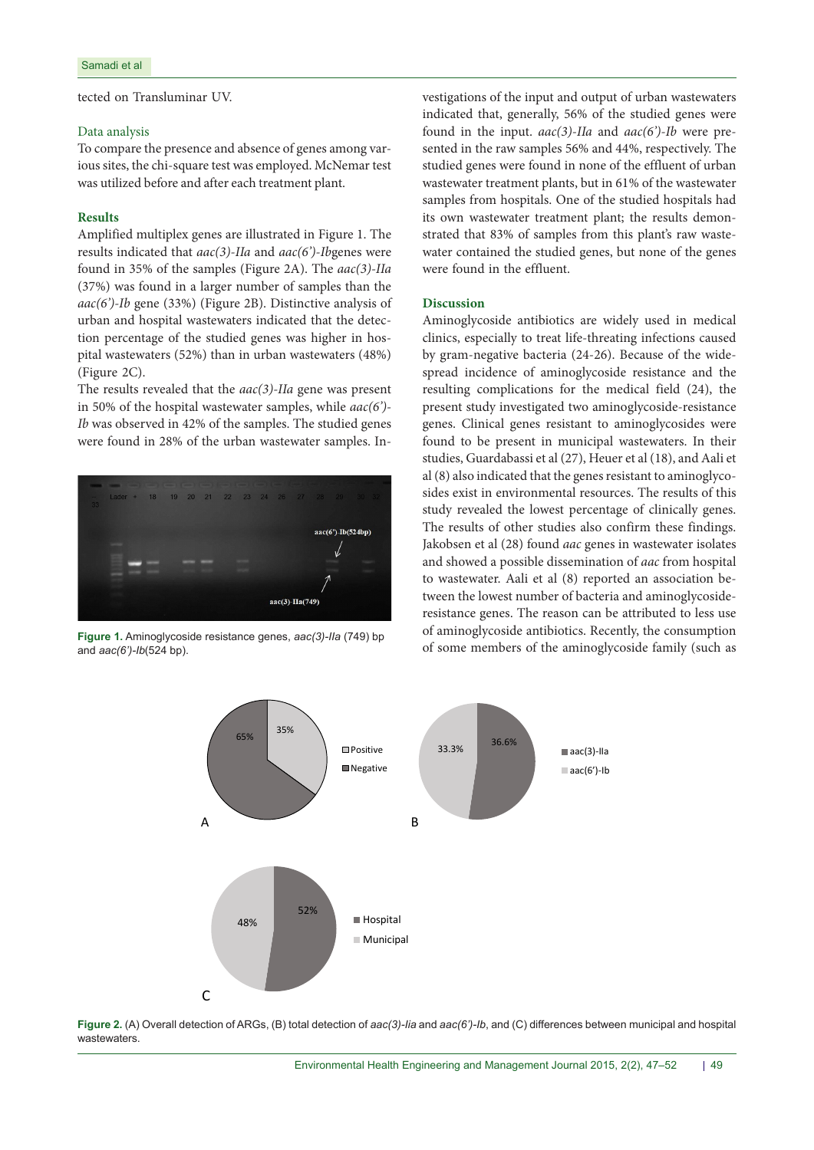tected on Transluminar UV.

#### Data analysis

To compare the presence and absence of genes among various sites, the chi-square test was employed. McNemar test was utilized before and after each treatment plant.

# **Results**

Amplified multiplex genes are illustrated in Figure 1. The results indicated that *aac(3)-IIa* and *aac(6')-Ib*genes were found in 35% of the samples (Figure 2A). The *aac(3)-IIa* (37%) was found in a larger number of samples than the *aac(6')-Ib* gene (33%) (Figure 2B). Distinctive analysis of urban and hospital wastewaters indicated that the detection percentage of the studied genes was higher in hospital wastewaters (52%) than in urban wastewaters (48%) (Figure 2C).

The results revealed that the *aac(3)-IIa* gene was present in 50% of the hospital wastewater samples, while *aac(6')- Ib* was observed in 42% of the samples. The studied genes were found in 28% of the urban wastewater samples. In-



and *aac(6')-Ib*(524 bp).

vestigations of the input and output of urban wastewaters indicated that, generally, 56% of the studied genes were found in the input. *aac(3)-IIa* and *aac(6')-Ib* were presented in the raw samples 56% and 44%, respectively. The studied genes were found in none of the effluent of urban wastewater treatment plants, but in 61% of the wastewater samples from hospitals. One of the studied hospitals had its own wastewater treatment plant; the results demonstrated that 83% of samples from this plant's raw wastewater contained the studied genes, but none of the genes were found in the effluent.

## **Discussion**

Aminoglycoside antibiotics are widely used in medical clinics, especially to treat life-threating infections caused by gram-negative bacteria (24-26). Because of the widespread incidence of aminoglycoside resistance and the resulting complications for the medical field (24), the present study investigated two aminoglycoside-resistance genes. Clinical genes resistant to aminoglycosides were found to be present in municipal wastewaters. In their studies, Guardabassi et al (27), Heuer et al (18), and Aali et al (8) also indicated that the genes resistant to aminoglycosides exist in environmental resources. The results of this study revealed the lowest percentage of clinically genes. The results of other studies also confirm these findings. Jakobsen et al (28) found *aac* genes in wastewater isolates and showed a possible dissemination of *aac* from hospital to wastewater. Aali et al (8) reported an association between the lowest number of bacteria and aminoglycosideresistance genes. The reason can be attributed to less use of aminoglycoside antibiotics. Recently, the consumption of some members of the aminoglycoside family (such as **Figure 1.** Aminoglycoside resistance genes, *aac(3)-IIa* (749) bp



**Figure 2.** (A) Overall detection of ARGs, (B) total detection of *aac(3)-Iia* and *aac(6')-Ib*, and (C) differences between municipal and hospital wastewaters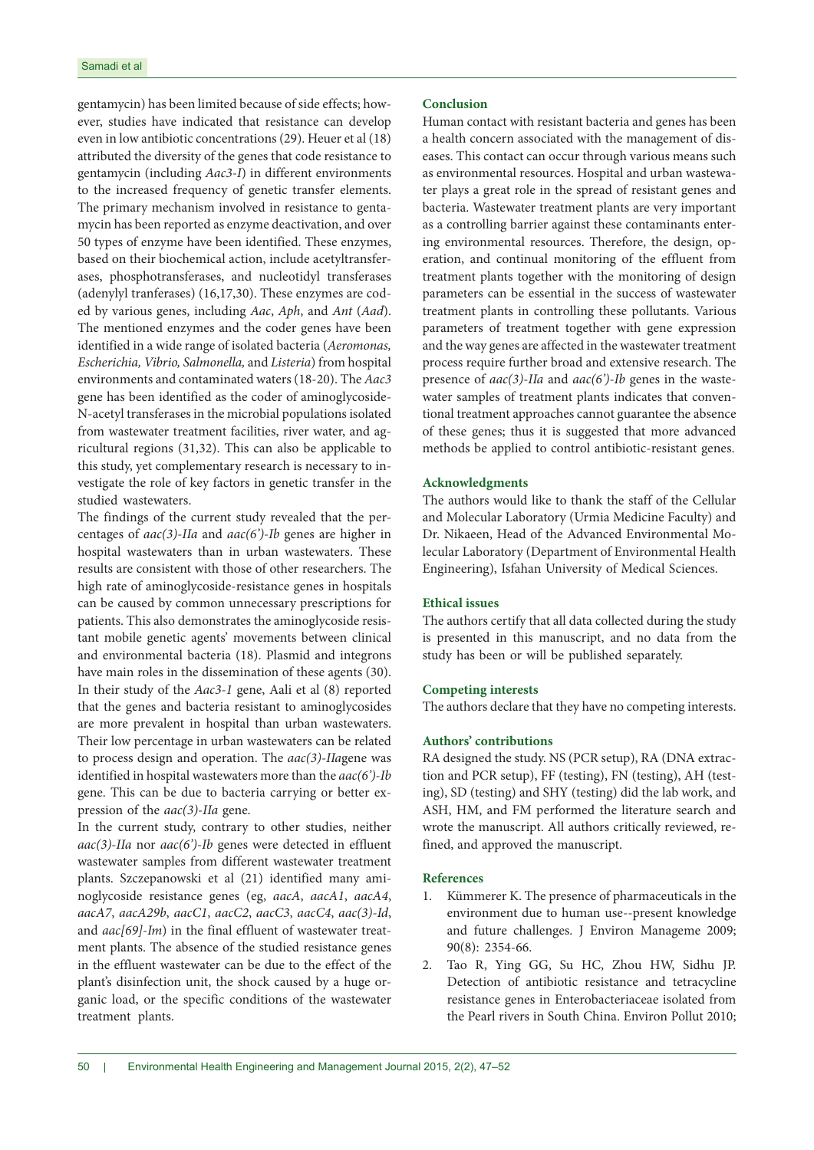gentamycin) has been limited because of side effects; however, studies have indicated that resistance can develop even in low antibiotic concentrations (29). Heuer et al (18) attributed the diversity of the genes that code resistance to gentamycin (including *Aac3-I*) in different environments to the increased frequency of genetic transfer elements. The primary mechanism involved in resistance to gentamycin has been reported as enzyme deactivation, and over 50 types of enzyme have been identified. These enzymes, based on their biochemical action, include acetyltransferases, phosphotransferases, and nucleotidyl transferases (adenylyl tranferases) (16,17,30). These enzymes are coded by various genes, including *Aac*, *Aph*, and *Ant* (*Aad*). The mentioned enzymes and the coder genes have been identified in a wide range of isolated bacteria (*Aeromonas, Escherichia, Vibrio, Salmonella,* and *Listeria*) from hospital environments and contaminated waters (18-20). The *Aac3* gene has been identified as the coder of aminoglycoside-N-acetyl transferases in the microbial populations isolated from wastewater treatment facilities, river water, and agricultural regions (31,32). This can also be applicable to this study, yet complementary research is necessary to investigate the role of key factors in genetic transfer in the studied wastewaters.

The findings of the current study revealed that the percentages of *aac(3)-IIa* and *aac(6')-Ib* genes are higher in hospital wastewaters than in urban wastewaters. These results are consistent with those of other researchers. The high rate of aminoglycoside-resistance genes in hospitals can be caused by common unnecessary prescriptions for patients. This also demonstrates the aminoglycoside resistant mobile genetic agents' movements between clinical and environmental bacteria (18). Plasmid and integrons have main roles in the dissemination of these agents (30). In their study of the *Aac3-1* gene, Aali et al (8) reported that the genes and bacteria resistant to aminoglycosides are more prevalent in hospital than urban wastewaters. Their low percentage in urban wastewaters can be related to process design and operation. The *aac(3)-IIa*gene was identified in hospital wastewaters more than the *aac(6')-Ib* gene. This can be due to bacteria carrying or better expression of the *aac(3)-IIa* gene.

In the current study, contrary to other studies, neither *aac(3)-IIa* nor *aac(6')-Ib* genes were detected in effluent wastewater samples from different wastewater treatment plants. Szczepanowski et al (21) identified many aminoglycoside resistance genes (eg, *aacA*, *aacA1*, *aacA4*, *aacA7*, *aacA29b*, *aacC1*, *aacC2*, *aacC3*, *aacC4*, *aac(3)-Id*, and *aac[69]-Im*) in the final effluent of wastewater treatment plants. The absence of the studied resistance genes in the effluent wastewater can be due to the effect of the plant's disinfection unit, the shock caused by a huge organic load, or the specific conditions of the wastewater treatment plants.

# **Conclusion**

Human contact with resistant bacteria and genes has been a health concern associated with the management of diseases. This contact can occur through various means such as environmental resources. Hospital and urban wastewater plays a great role in the spread of resistant genes and bacteria. Wastewater treatment plants are very important as a controlling barrier against these contaminants entering environmental resources. Therefore, the design, operation, and continual monitoring of the effluent from treatment plants together with the monitoring of design parameters can be essential in the success of wastewater treatment plants in controlling these pollutants. Various parameters of treatment together with gene expression and the way genes are affected in the wastewater treatment process require further broad and extensive research. The presence of *aac(3)-IIa* and *aac(6')-Ib* genes in the wastewater samples of treatment plants indicates that conventional treatment approaches cannot guarantee the absence of these genes; thus it is suggested that more advanced methods be applied to control antibiotic-resistant genes.

# **Acknowledgments**

The authors would like to thank the staff of the Cellular and Molecular Laboratory (Urmia Medicine Faculty) and Dr. Nikaeen, Head of the Advanced Environmental Molecular Laboratory (Department of Environmental Health Engineering), Isfahan University of Medical Sciences.

## **Ethical issues**

The authors certify that all data collected during the study is presented in this manuscript, and no data from the study has been or will be published separately.

### **Competing interests**

The authors declare that they have no competing interests.

# **Authors' contributions**

RA designed the study. NS (PCR setup), RA (DNA extraction and PCR setup), FF (testing), FN (testing), AH (testing), SD (testing) and SHY (testing) did the lab work, and ASH, HM, and FM performed the literature search and wrote the manuscript. All authors critically reviewed, refined, and approved the manuscript.

#### **References**

- 1. Kümmerer K. The presence of pharmaceuticals in the environment due to human use--present knowledge and future challenges. J Environ Manageme 2009; 90(8): 2354-66.
- 2. Tao R, Ying GG, Su HC, Zhou HW, Sidhu JP. Detection of antibiotic resistance and tetracycline resistance genes in Enterobacteriaceae isolated from the Pearl rivers in South China. Environ Pollut 2010;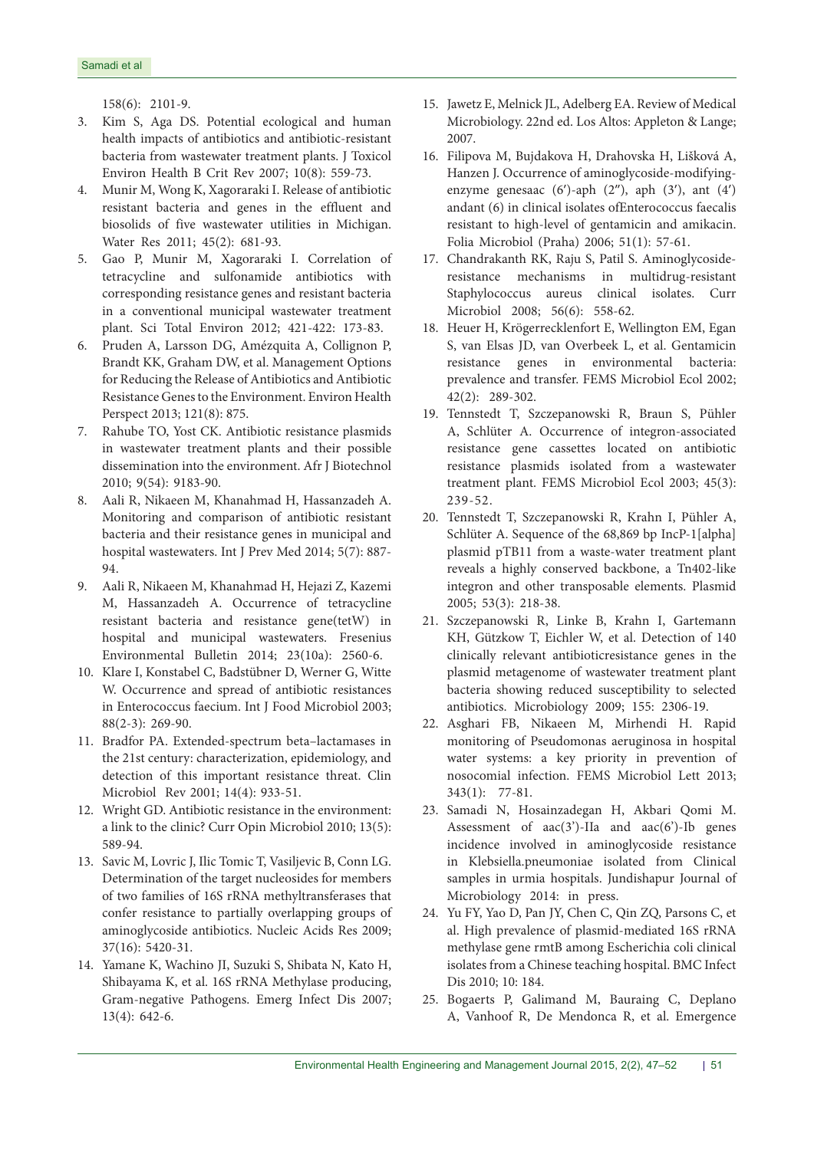158(6): 2101-9.

- 3. Kim S, Aga DS. Potential ecological and human health impacts of antibiotics and antibiotic-resistant bacteria from wastewater treatment plants. J Toxicol Environ Health B Crit Rev 2007; 10(8): 559-73.
- 4. Munir M, Wong K, Xagoraraki I. Release of antibiotic resistant bacteria and genes in the effluent and biosolids of five wastewater utilities in Michigan. Water Res 2011; 45(2): 681-93.
- 5. Gao P, Munir M, Xagoraraki I. Correlation of tetracycline and sulfonamide antibiotics with corresponding resistance genes and resistant bacteria in a conventional municipal wastewater treatment plant. Sci Total Environ 2012; 421-422: 173-83.
- 6. Pruden A, Larsson DG, Amézquita A, Collignon P, Brandt KK, Graham DW, et al. Management Options for Reducing the Release of Antibiotics and Antibiotic Resistance Genes to the Environment. Environ Health Perspect 2013; 121(8): 875.
- 7. Rahube TO, Yost CK. Antibiotic resistance plasmids in wastewater treatment plants and their possible dissemination into the environment. Afr J Biotechnol 2010; 9(54): 9183-90.
- 8. Aali R, Nikaeen M, Khanahmad H, Hassanzadeh A. Monitoring and comparison of antibiotic resistant bacteria and their resistance genes in municipal and hospital wastewaters. Int J Prev Med 2014; 5(7): 887- 94.
- 9. Aali R, Nikaeen M, Khanahmad H, Hejazi Z, Kazemi M, Hassanzadeh A. Occurrence of tetracycline resistant bacteria and resistance gene(tetW) in hospital and municipal wastewaters. Fresenius Environmental Bulletin 2014; 23(10a): 2560-6.
- 10. Klare I, Konstabel C, Badstübner D, Werner G, Witte W. Occurrence and spread of antibiotic resistances in Enterococcus faecium. Int J Food Microbiol 2003; 88(2-3): 269-90.
- 11. Bradfor PA. Extended-spectrum beta–lactamases in the 21st century: characterization, epidemiology, and detection of this important resistance threat. Clin Microbiol Rev 2001; 14(4): 933-51.
- 12. Wright GD. Antibiotic resistance in the environment: a link to the clinic? Curr Opin Microbiol 2010; 13(5): 589-94.
- 13. Savic M, Lovric J, Ilic Tomic T, Vasiljevic B, Conn LG. Determination of the target nucleosides for members of two families of 16S rRNA methyltransferases that confer resistance to partially overlapping groups of aminoglycoside antibiotics. Nucleic Acids Res 2009; 37(16): 5420-31.
- 14. Yamane K, Wachino JI, Suzuki S, Shibata N, Kato H, Shibayama K, et al. 16S rRNA Methylase producing, Gram-negative Pathogens. Emerg Infect Dis 2007; 13(4): 642-6.
- 15. Jawetz E, Melnick JL, Adelberg EA. Review of Medical Microbiology. 22nd ed. Los Altos: Appleton & Lange; 2007.
- 16. Filipova M, Bujdakova H, Drahovska H, Lišková A, Hanzen J. Occurrence of aminoglycoside-modifyingenzyme genesaac  $(6')$ -aph  $(2'')$ , aph  $(3')$ , ant  $(4')$ andant (6) in clinical isolates ofEnterococcus faecalis resistant to high-level of gentamicin and amikacin. Folia Microbiol (Praha) 2006; 51(1): 57-61.
- 17. Chandrakanth RK, Raju S, Patil S. Aminoglycosideresistance mechanisms in multidrug-resistant Staphylococcus aureus clinical isolates. Curr Microbiol 2008; 56(6): 558-62.
- 18. Heuer H, Krögerrecklenfort E, Wellington EM, Egan S, van Elsas JD, van Overbeek L, et al. Gentamicin resistance genes in environmental bacteria: prevalence and transfer. FEMS Microbiol Ecol 2002; 42(2): 289-302.
- 19. Tennstedt T, Szczepanowski R, Braun S, Pühler A, Schlüter A. Occurrence of integron-associated resistance gene cassettes located on antibiotic resistance plasmids isolated from a wastewater treatment plant. FEMS Microbiol Ecol 2003; 45(3): 239-52.
- 20. Tennstedt T, Szczepanowski R, Krahn I, Pühler A, Schlüter A. Sequence of the 68,869 bp IncP-1[alpha] plasmid pTB11 from a waste-water treatment plant reveals a highly conserved backbone, a Tn402-like integron and other transposable elements. Plasmid 2005; 53(3): 218-38.
- 21. Szczepanowski R, Linke B, Krahn I, Gartemann KH, Gützkow T, Eichler W, et al. Detection of 140 clinically relevant antibioticresistance genes in the plasmid metagenome of wastewater treatment plant bacteria showing reduced susceptibility to selected antibiotics. Microbiology 2009; 155: 2306-19.
- 22. Asghari FB, Nikaeen M, Mirhendi H. Rapid monitoring of Pseudomonas aeruginosa in hospital water systems: a key priority in prevention of nosocomial infection. FEMS Microbiol Lett 2013; 343(1): 77-81.
- 23. Samadi N, Hosainzadegan H, Akbari Qomi M. Assessment of  $aac(3')$ -IIa and  $aac(6')$ -Ib genes incidence involved in aminoglycoside resistance in Klebsiella.pneumoniae isolated from Clinical samples in urmia hospitals. Jundishapur Journal of Microbiology 2014: in press.
- 24. Yu FY, Yao D, Pan JY, Chen C, Qin ZQ, Parsons C, et al. High prevalence of plasmid-mediated 16S rRNA methylase gene rmtB among Escherichia coli clinical isolates from a Chinese teaching hospital. BMC Infect Dis 2010; 10: 184.
- 25. Bogaerts P, Galimand M, Bauraing C, Deplano A, Vanhoof R, De Mendonca R, et al. Emergence